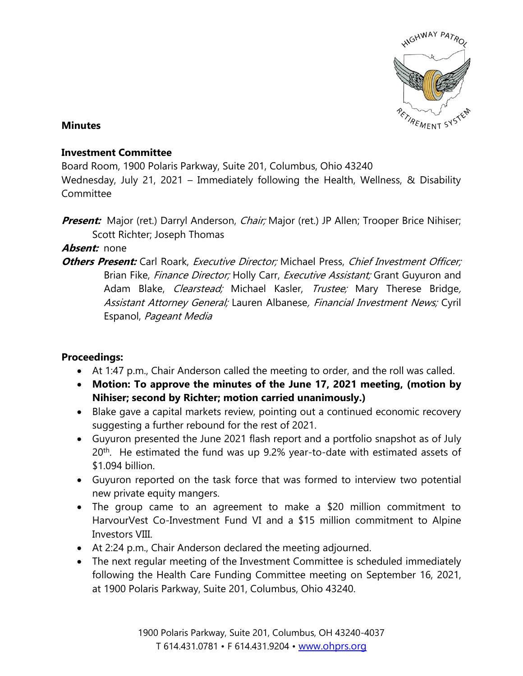

### **Minutes**

## **Investment Committee**

Board Room, 1900 Polaris Parkway, Suite 201, Columbus, Ohio 43240

Wednesday, July 21, 2021 – Immediately following the Health, Wellness, & Disability Committee

**Present:** Major (ret.) Darryl Anderson, *Chair;* Major (ret.) JP Allen; Trooper Brice Nihiser; Scott Richter; Joseph Thomas

## **Absent:** none

**Others Present:** Carl Roark, *Executive Director;* Michael Press, *Chief Investment Officer;* Brian Fike, Finance Director; Holly Carr, Executive Assistant; Grant Guyuron and Adam Blake, *Clearstead;* Michael Kasler, *Trustee;* Mary Therese Bridge, Assistant Attorney General; Lauren Albanese, Financial Investment News; Cyril Espanol, Pageant Media

## **Proceedings:**

- At 1:47 p.m., Chair Anderson called the meeting to order, and the roll was called.
- **Motion: To approve the minutes of the June 17, 2021 meeting, (motion by Nihiser; second by Richter; motion carried unanimously.)**
- Blake gave a capital markets review, pointing out a continued economic recovery suggesting a further rebound for the rest of 2021.
- Guyuron presented the June 2021 flash report and a portfolio snapshot as of July 20<sup>th</sup>. He estimated the fund was up 9.2% year-to-date with estimated assets of \$1.094 billion.
- Guyuron reported on the task force that was formed to interview two potential new private equity mangers.
- The group came to an agreement to make a \$20 million commitment to HarvourVest Co-Investment Fund VI and a \$15 million commitment to Alpine Investors VIII.
- At 2:24 p.m., Chair Anderson declared the meeting adjourned.
- The next regular meeting of the Investment Committee is scheduled immediately following the Health Care Funding Committee meeting on September 16, 2021, at 1900 Polaris Parkway, Suite 201, Columbus, Ohio 43240.